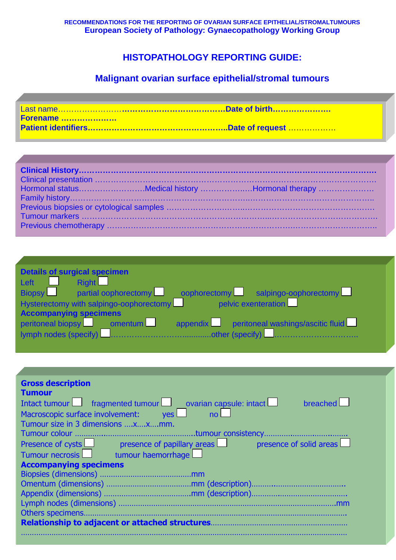## **HISTOPATHOLOGY REPORTING GUIDE:**

# **Malignant ovarian surface epithelial/stromal tumours**

| Forename |  |
|----------|--|
|          |  |

| Hormonal statusMedical history Hormonal therapy |
|-------------------------------------------------|
|                                                 |
|                                                 |
|                                                 |
|                                                 |

| <b>Details of surgical specimen</b>                                          |  |
|------------------------------------------------------------------------------|--|
| Right<br>Left                                                                |  |
| partial oophorectomy cophorectomy salpingo-oophorectomy<br>$Bi$ opsy         |  |
| $\frac{1}{2}$ pelvic exenteration<br>Hysterectomy with salpingo-oophorectomy |  |
| <b>Accompanying specimens</b>                                                |  |
| peritoneal biopsy omentum<br>appendix peritoneal washings/ascitic fluid      |  |
|                                                                              |  |

| <b>Gross description</b><br><b>Tumour</b>                                                       |
|-------------------------------------------------------------------------------------------------|
| Intact tumour $\Box$ fragmented tumour $\Box$ ovarian capsule: intact $\Box$<br><b>breached</b> |
| Macroscopic surface involvement: yes<br>no                                                      |
| Tumour size in 3 dimensions xxmm.                                                               |
|                                                                                                 |
| Presence of cysts Presence of papillary areas Presence of solid areas                           |
| Tumour necrosis in tumour haemorrhage                                                           |
| <b>Accompanying specimens</b>                                                                   |
|                                                                                                 |
|                                                                                                 |
|                                                                                                 |
|                                                                                                 |
|                                                                                                 |
|                                                                                                 |
|                                                                                                 |
|                                                                                                 |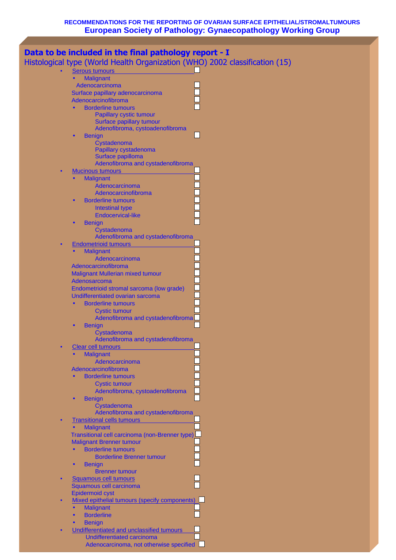|   | Data to be included in the final pathology report - I                       |
|---|-----------------------------------------------------------------------------|
|   | Histological type (World Health Organization (WHO) 2002 classification (15) |
| ٠ |                                                                             |
|   | <b>Serous tumours</b><br><b>Malignant</b><br>$\bullet$                      |
|   | Adenocarcinoma                                                              |
|   | Surface papillary adenocarcinoma                                            |
|   | Adenocarcinofibroma                                                         |
|   | <b>Borderline tumours</b>                                                   |
|   | <b>Papillary cystic tumour</b>                                              |
|   | Surface papillary tumour                                                    |
|   | Adenofibroma, cystoadenofibroma                                             |
|   | <b>Benign</b><br>$\bullet$                                                  |
|   | Cystadenoma                                                                 |
|   | Papillary cystadenoma                                                       |
|   | Surface papilloma                                                           |
|   | Adenofibroma and cystadenofibroma                                           |
|   | <b>Mucinous tumours</b>                                                     |
|   | <b>Malignant</b>                                                            |
|   | Adenocarcinoma                                                              |
|   | Adenocarcinofibroma                                                         |
|   | <b>Borderline tumours</b>                                                   |
|   | <b>Intestinal type</b>                                                      |
|   | <b>Endocervical-like</b>                                                    |
|   | <b>Benign</b>                                                               |
|   | Cystadenoma                                                                 |
|   | Adenofibroma and cystadenofibroma                                           |
|   | <b>Endometrioid tumours</b>                                                 |
|   | <b>Malignant</b>                                                            |
|   | Adenocarcinoma                                                              |
|   | Adenocarcinofibroma                                                         |
|   | Malignant Mullerian mixed tumour                                            |
|   | Adenosarcoma                                                                |
|   | Endometrioid stromal sarcoma (low grade)                                    |
|   | Undifferentiated ovarian sarcoma                                            |
|   | <b>Borderline tumours</b>                                                   |
|   | <b>Cystic tumour</b>                                                        |
|   | Adenofibroma and cystadenofibromal                                          |
|   | <b>Benign</b>                                                               |
|   | Cystadenoma                                                                 |
|   | Adenofibroma and cystadenofibroma                                           |
|   | <b>Clear cell tumours</b>                                                   |
|   | <b>Malignant</b>                                                            |
|   | Adenocarcinoma                                                              |
|   | Adenocarcinofibroma                                                         |
|   | <b>Borderline tumours</b>                                                   |
|   | <b>Cystic tumour</b>                                                        |
|   | Adenofibroma, cystoadenofibroma                                             |
|   | <b>Benign</b>                                                               |
|   | Cystadenoma                                                                 |
|   | Adenofibroma and cystadenofibroma                                           |
|   | <b>Transitional cells tumours</b>                                           |
|   | <b>Malignant</b>                                                            |
|   | Transitional cell carcinoma (non-Brenner type)                              |
|   | <b>Malignant Brenner tumour</b>                                             |
|   | <b>Borderline tumours</b>                                                   |
|   | <b>Borderline Brenner tumour</b>                                            |
|   | <b>Benign</b><br><b>Brenner tumour</b>                                      |
|   | <b>Squamous cell tumours</b>                                                |
|   | Squamous cell carcinoma                                                     |
|   | <b>Epidermoid cyst</b>                                                      |
|   | Mixed epithelial tumours (specify components)                               |
|   | <b>Malignant</b>                                                            |
|   | <b>Borderline</b>                                                           |
|   | <b>Benign</b>                                                               |
|   | Undifferentiated and unclassified tumours                                   |
|   | Undifferentiated carcinoma                                                  |
|   | Adenocarcinoma, not otherwise specified                                     |
|   |                                                                             |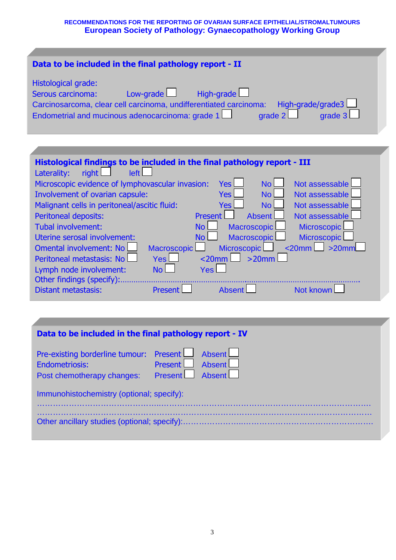| Data to be included in the final pathology report - II                                                                                                                                                                                                                                                                                                                                                                                                                                                                                                                                                                                                                                                                                                                                                                                                                                                                                                                                                        |
|---------------------------------------------------------------------------------------------------------------------------------------------------------------------------------------------------------------------------------------------------------------------------------------------------------------------------------------------------------------------------------------------------------------------------------------------------------------------------------------------------------------------------------------------------------------------------------------------------------------------------------------------------------------------------------------------------------------------------------------------------------------------------------------------------------------------------------------------------------------------------------------------------------------------------------------------------------------------------------------------------------------|
| Histological grade:<br>Low-grade $\Box$<br>High-grade<br>Serous carcinoma:<br>High-grade/grade3<br>Carcinosarcoma, clear cell carcinoma, undifferentiated carcinoma:<br>grade 2<br>grade 3<br>Endometrial and mucinous adenocarcinoma: grade 1                                                                                                                                                                                                                                                                                                                                                                                                                                                                                                                                                                                                                                                                                                                                                                |
|                                                                                                                                                                                                                                                                                                                                                                                                                                                                                                                                                                                                                                                                                                                                                                                                                                                                                                                                                                                                               |
| Histological findings to be included in the final pathology report - III<br>right $\Box$<br>left L<br>Laterality:<br>No <sub>l</sub><br>Not assessable<br>Microscopic evidence of lymphovascular invasion:<br><b>Yes</b><br>No <sub>1</sub><br>Not assessable<br>Involvement of ovarian capsule:<br><b>Yes</b><br>No l<br>Malignant cells in peritoneal/ascitic fluid:<br>Not assessable<br><b>Yes</b><br><b>Absent</b><br>Peritoneal deposits:<br><b>Present</b><br>Not assessable<br>Tubal involvement:<br><b>Macroscopic</b><br><b>Microscopic</b><br>No <sub>1</sub><br><b>Microscopic</b><br><b>Macroscopic</b><br>Uterine serosal involvement:<br>No <sub>1</sub><br>$\leq$ 20mm $\lfloor$ >20mm<br><b>Omental involvement: No</b><br>Microscopic<br>Macroscopic<br>$Yes$ $\Box$<br>$>20$ mm<br>$\leq$ 20mm $\Box$<br>Peritoneal metastasis: No<br>Yes L<br>No l<br>Lymph node involvement:<br>Other findings (specify):.<br><b>Distant metastasis:</b><br><b>Present</b><br>Not known<br><b>Absent</b> |

| Data to be included in the final pathology report - IV                                           |                                    |  |  |
|--------------------------------------------------------------------------------------------------|------------------------------------|--|--|
| Pre-existing borderline tumour: Present   Absent<br>Endometriosis:<br>Post chemotherapy changes: | Present Absent<br>Present   Absent |  |  |
| Immunohistochemistry (optional; specify):                                                        |                                    |  |  |
|                                                                                                  |                                    |  |  |